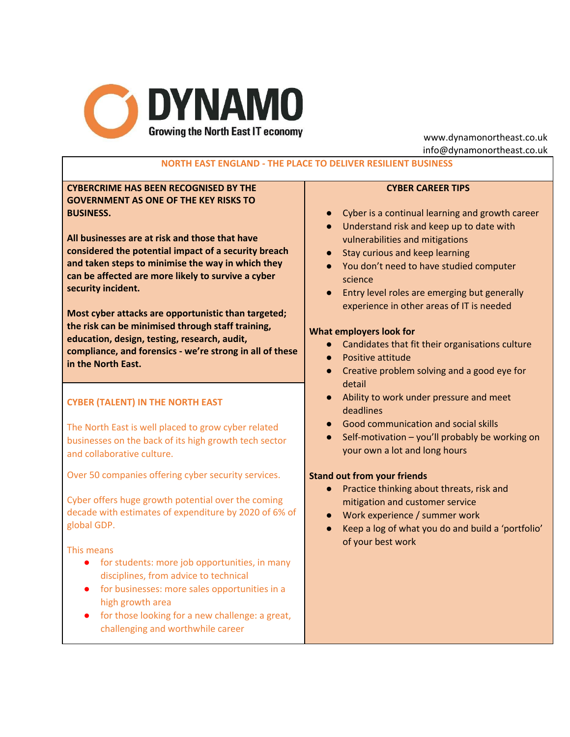

www.dynamonortheast.co.uk info@dynamonortheast.co.uk

# **NORTH EAST ENGLAND - THE PLACE TO DELIVER RESILIENT BUSINESS**

## **CYBERCRIME HAS BEEN RECOGNISED BY THE GOVERNMENT AS ONE OF THE KEY RISKS TO BUSINESS.**

**All businesses are at risk and those that have considered the potential impact of a security breach and taken steps to minimise the way in which they can be affected are more likely to survive a cyber security incident.**

**Most cyber attacks are opportunistic than targeted; the risk can be minimised through staff training, education, design, testing, research, audit, compliance, and forensics - we're strong in all of these in the North East.**

## **CYBER (TALENT) IN THE NORTH EAST**

The North East is well placed to grow cyber related businesses on the back of its high growth tech sector and collaborative culture.

Over 50 companies offering cyber security services.

Cyber offers huge growth potential over the coming decade with estimates of expenditure by 2020 of 6% of global GDP.

This means

- for students: more job opportunities, in many disciplines, from advice to technical
- for businesses: more sales opportunities in a high growth area
- for those looking for a new challenge: a great, challenging and worthwhile career

## **CYBER CAREER TIPS**

- Cyber is a continual learning and growth career
- Understand risk and keep up to date with vulnerabilities and mitigations
- Stay curious and keep learning
- You don't need to have studied computer science
- Entry level roles are emerging but generally experience in other areas of IT is needed

#### **What employers look for**

- Candidates that fit their organisations culture
- Positive attitude
- Creative problem solving and a good eye for detail
- Ability to work under pressure and meet deadlines
- Good communication and social skills
- Self-motivation you'll probably be working on your own a lot and long hours

### **Stand out from your friends**

- Practice thinking about threats, risk and mitigation and customer service
- Work experience / summer work
- Keep a log of what you do and build a 'portfolio' of your best work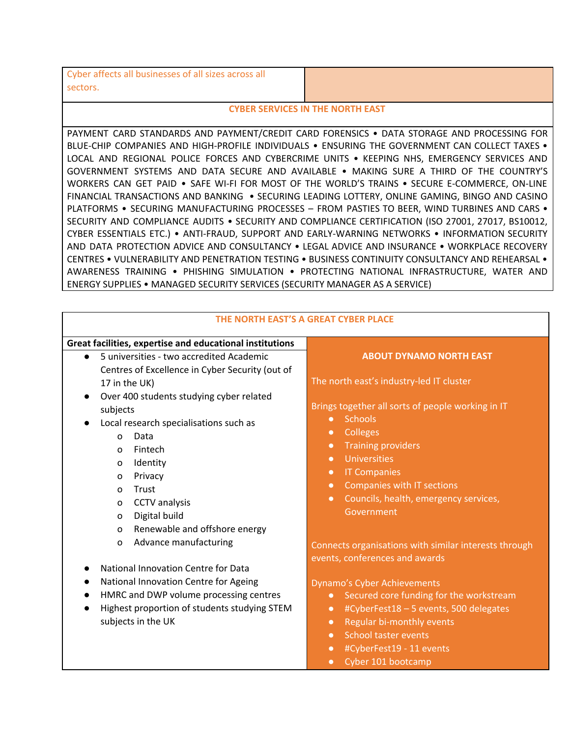| Cyber affects all businesses of all sizes across all |  |
|------------------------------------------------------|--|
| sectors.                                             |  |

#### **CYBER SERVICES IN THE NORTH EAST**

PAYMENT CARD STANDARDS AND PAYMENT/CREDIT CARD FORENSICS • DATA STORAGE AND PROCESSING FOR BLUE-CHIP COMPANIES AND HIGH-PROFILE INDIVIDUALS . ENSURING THE GOVERNMENT CAN COLLECT TAXES . LOCAL AND REGIONAL POLICE FORCES AND CYBERCRIME UNITS • KEEPING NHS, EMERGENCY SERVICES AND GOVERNMENT SYSTEMS AND DATA SECURE AND AVAILABLE • MAKING SURE A THIRD OF THE COUNTRY'S WORKERS CAN GET PAID • SAFE WI-FI FOR MOST OF THE WORLD'S TRAINS • SECURE E-COMMERCE, ON-LINE FINANCIAL TRANSACTIONS AND BANKING • SECURING LEADING LOTTERY, ONLINE GAMING, BINGO AND CASINO PLATFORMS • SECURING MANUFACTURING PROCESSES – FROM PASTIES TO BEER, WIND TURBINES AND CARS • SECURITY AND COMPLIANCE AUDITS • SECURITY AND COMPLIANCE CERTIFICATION (ISO 27001, 27017, BS10012, CYBER ESSENTIALS ETC.) • ANTI-FRAUD, SUPPORT AND EARLY-WARNING NETWORKS • INFORMATION SECURITY AND DATA PROTECTION ADVICE AND CONSULTANCY • LEGAL ADVICE AND INSURANCE • WORKPLACE RECOVERY CENTRES • VULNERABILITY AND PENETRATION TESTING • BUSINESS CONTINUITY CONSULTANCY AND REHEARSAL • AWARENESS TRAINING • PHISHING SIMULATION • PROTECTING NATIONAL INFRASTRUCTURE, WATER AND ENERGY SUPPLIES • MANAGED SECURITY SERVICES (SECURITY MANAGER AS A SERVICE)

| THE NORTH EAST'S A GREAT CYBER PLACE                                                                                                                                                                                                                                                                           |                                                                                                                                                                                                                                                                                                                                                                                                         |
|----------------------------------------------------------------------------------------------------------------------------------------------------------------------------------------------------------------------------------------------------------------------------------------------------------------|---------------------------------------------------------------------------------------------------------------------------------------------------------------------------------------------------------------------------------------------------------------------------------------------------------------------------------------------------------------------------------------------------------|
| Great facilities, expertise and educational institutions                                                                                                                                                                                                                                                       |                                                                                                                                                                                                                                                                                                                                                                                                         |
| 5 universities - two accredited Academic<br>$\bullet$<br>Centres of Excellence in Cyber Security (out of                                                                                                                                                                                                       | <b>ABOUT DYNAMO NORTH EAST</b>                                                                                                                                                                                                                                                                                                                                                                          |
| 17 in the UK)<br>Over 400 students studying cyber related<br>$\bullet$<br>subjects<br>Local research specialisations such as<br>Data<br>$\Omega$<br>Fintech<br>$\Omega$<br>Identity<br>$\mathbf 0$<br>Privacy<br>$\circ$<br>Trust<br>$\Omega$<br>CCTV analysis<br>$\mathbf 0$<br>Digital build<br>$\mathbf 0$  | The north east's industry-led IT cluster<br>Brings together all sorts of people working in IT<br><b>Schools</b><br>$\bullet$<br><b>Colleges</b><br>$\bullet$<br><b>Training providers</b><br>$\bullet$<br><b>Universities</b><br>$\bullet$<br><b>IT Companies</b><br>$\bullet$<br>Companies with IT sections<br>$\bullet$<br>Councils, health, emergency services,<br>$\bullet$<br>Government           |
| Renewable and offshore energy<br>$\mathbf 0$<br>Advance manufacturing<br>$\mathbf 0$<br>National Innovation Centre for Data<br>National Innovation Centre for Ageing<br>$\bullet$<br>HMRC and DWP volume processing centres<br>$\bullet$<br>Highest proportion of students studying STEM<br>subjects in the UK | Connects organisations with similar interests through<br>events, conferences and awards<br>Dynamo's Cyber Achievements<br>Secured core funding for the workstream<br>$\bullet$<br>#CyberFest18 - 5 events, 500 delegates<br>$\bullet$<br>Regular bi-monthly events<br>$\bullet$<br><b>School taster events</b><br>$\bullet$<br>#CyberFest19 - 11 events<br>$\bullet$<br>Cyber 101 bootcamp<br>$\bullet$ |